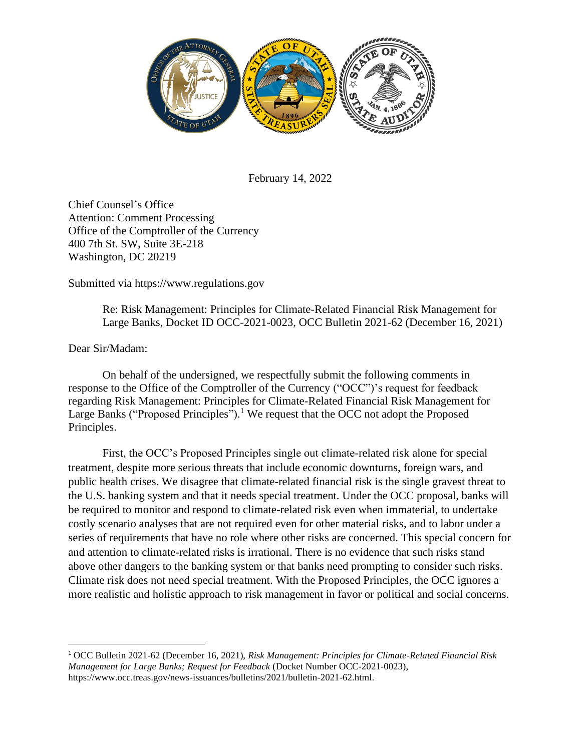

February 14, 2022

Chief Counsel's Office Attention: Comment Processing Office of the Comptroller of the Currency 400 7th St. SW, Suite 3E-218 Washington, DC 20219

Submitted via https://www.regulations.gov

Re: Risk Management: Principles for Climate-Related Financial Risk Management for Large Banks, Docket ID OCC-2021-0023, OCC Bulletin 2021-62 (December 16, 2021)

Dear Sir/Madam:

On behalf of the undersigned, we respectfully submit the following comments in response to the Office of the Comptroller of the Currency ("OCC")'s request for feedback regarding Risk Management: Principles for Climate-Related Financial Risk Management for Large Banks ("Proposed Principles").<sup>1</sup> We request that the OCC not adopt the Proposed Principles.

First, the OCC's Proposed Principles single out climate-related risk alone for special treatment, despite more serious threats that include economic downturns, foreign wars, and public health crises. We disagree that climate-related financial risk is the single gravest threat to the U.S. banking system and that it needs special treatment. Under the OCC proposal, banks will be required to monitor and respond to climate-related risk even when immaterial, to undertake costly scenario analyses that are not required even for other material risks, and to labor under a series of requirements that have no role where other risks are concerned. This special concern for and attention to climate-related risks is irrational. There is no evidence that such risks stand above other dangers to the banking system or that banks need prompting to consider such risks. Climate risk does not need special treatment. With the Proposed Principles, the OCC ignores a more realistic and holistic approach to risk management in favor or political and social concerns.

<sup>1</sup> OCC Bulletin 2021-62 (December 16, 2021), *Risk Management: Principles for Climate-Related Financial Risk Management for Large Banks; Request for Feedback* (Docket Number OCC-2021-0023), https://www.occ.treas.gov/news-issuances/bulletins/2021/bulletin-2021-62.html.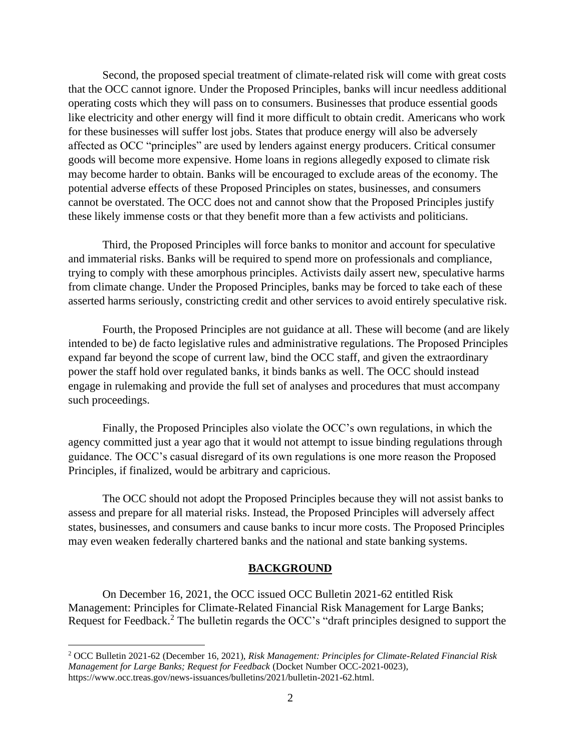Second, the proposed special treatment of climate-related risk will come with great costs that the OCC cannot ignore. Under the Proposed Principles, banks will incur needless additional operating costs which they will pass on to consumers. Businesses that produce essential goods like electricity and other energy will find it more difficult to obtain credit. Americans who work for these businesses will suffer lost jobs. States that produce energy will also be adversely affected as OCC "principles" are used by lenders against energy producers. Critical consumer goods will become more expensive. Home loans in regions allegedly exposed to climate risk may become harder to obtain. Banks will be encouraged to exclude areas of the economy. The potential adverse effects of these Proposed Principles on states, businesses, and consumers cannot be overstated. The OCC does not and cannot show that the Proposed Principles justify these likely immense costs or that they benefit more than a few activists and politicians.

Third, the Proposed Principles will force banks to monitor and account for speculative and immaterial risks. Banks will be required to spend more on professionals and compliance, trying to comply with these amorphous principles. Activists daily assert new, speculative harms from climate change. Under the Proposed Principles, banks may be forced to take each of these asserted harms seriously, constricting credit and other services to avoid entirely speculative risk.

Fourth, the Proposed Principles are not guidance at all. These will become (and are likely intended to be) de facto legislative rules and administrative regulations. The Proposed Principles expand far beyond the scope of current law, bind the OCC staff, and given the extraordinary power the staff hold over regulated banks, it binds banks as well. The OCC should instead engage in rulemaking and provide the full set of analyses and procedures that must accompany such proceedings.

Finally, the Proposed Principles also violate the OCC's own regulations, in which the agency committed just a year ago that it would not attempt to issue binding regulations through guidance. The OCC's casual disregard of its own regulations is one more reason the Proposed Principles, if finalized, would be arbitrary and capricious.

The OCC should not adopt the Proposed Principles because they will not assist banks to assess and prepare for all material risks. Instead, the Proposed Principles will adversely affect states, businesses, and consumers and cause banks to incur more costs. The Proposed Principles may even weaken federally chartered banks and the national and state banking systems.

## **BACKGROUND**

On December 16, 2021, the OCC issued OCC Bulletin 2021-62 entitled Risk Management: Principles for Climate-Related Financial Risk Management for Large Banks; Request for Feedback.<sup>2</sup> The bulletin regards the OCC's "draft principles designed to support the

<sup>2</sup> OCC Bulletin 2021-62 (December 16, 2021), *Risk Management: Principles for Climate-Related Financial Risk Management for Large Banks; Request for Feedback* (Docket Number OCC-2021-0023), https://www.occ.treas.gov/news-issuances/bulletins/2021/bulletin-2021-62.html.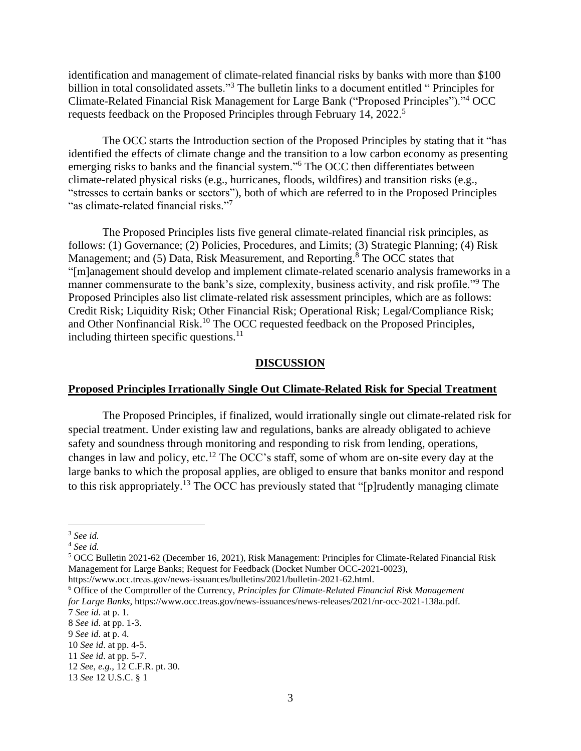identification and management of climate-related financial risks by banks with more than \$100 billion in total consolidated assets."<sup>3</sup> The bulletin links to a document entitled "Principles for Climate-Related Financial Risk Management for Large Bank ("Proposed Principles")."<sup>4</sup> OCC requests feedback on the Proposed Principles through February 14, 2022.<sup>5</sup>

The OCC starts the Introduction section of the Proposed Principles by stating that it "has identified the effects of climate change and the transition to a low carbon economy as presenting emerging risks to banks and the financial system."<sup>6</sup> The OCC then differentiates between climate-related physical risks (e.g., hurricanes, floods, wildfires) and transition risks (e.g., "stresses to certain banks or sectors"), both of which are referred to in the Proposed Principles "as climate-related financial risks."<sup>7</sup>

The Proposed Principles lists five general climate-related financial risk principles, as follows: (1) Governance; (2) Policies, Procedures, and Limits; (3) Strategic Planning; (4) Risk Management; and (5) Data, Risk Measurement, and Reporting.<sup>8</sup> The OCC states that "[m]anagement should develop and implement climate-related scenario analysis frameworks in a manner commensurate to the bank's size, complexity, business activity, and risk profile."<sup>9</sup> The Proposed Principles also list climate-related risk assessment principles, which are as follows: Credit Risk; Liquidity Risk; Other Financial Risk; Operational Risk; Legal/Compliance Risk; and Other Nonfinancial Risk.<sup>10</sup> The OCC requested feedback on the Proposed Principles, including thirteen specific questions. $11$ 

#### **DISCUSSION**

#### **Proposed Principles Irrationally Single Out Climate-Related Risk for Special Treatment**

The Proposed Principles, if finalized, would irrationally single out climate-related risk for special treatment. Under existing law and regulations, banks are already obligated to achieve safety and soundness through monitoring and responding to risk from lending, operations, changes in law and policy, etc.<sup>12</sup> The OCC's staff, some of whom are on-site every day at the large banks to which the proposal applies, are obliged to ensure that banks monitor and respond to this risk appropriately.<sup>13</sup> The OCC has previously stated that "[p]rudently managing climate

<sup>3</sup> *See id.*

<sup>4</sup> *See id.*

<sup>5</sup> OCC Bulletin 2021-62 (December 16, 2021), Risk Management: Principles for Climate-Related Financial Risk Management for Large Banks; Request for Feedback (Docket Number OCC-2021-0023),

https://www.occ.treas.gov/news-issuances/bulletins/2021/bulletin-2021-62.html.

<sup>6</sup> Office of the Comptroller of the Currency, *Principles for Climate-Related Financial Risk Management for Large Banks*, https://www.occ.treas.gov/news-issuances/news-releases/2021/nr-occ-2021-138a.pdf. 7 *See id*. at p. 1.

<sup>8</sup> *See id*. at pp. 1-3.

<sup>9</sup> *See id*. at p. 4.

<sup>10</sup> *See id*. at pp. 4-5.

<sup>11</sup> *See id*. at pp. 5-7.

<sup>12</sup> *See, e.g*., 12 C.F.R. pt. 30.

<sup>13</sup> *See* 12 U.S.C. § 1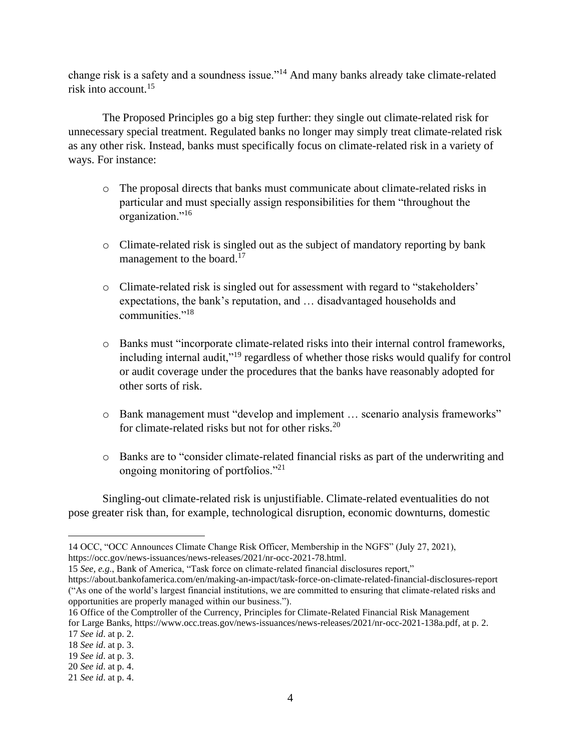change risk is a safety and a soundness issue."<sup>14</sup> And many banks already take climate-related risk into account.<sup>15</sup>

The Proposed Principles go a big step further: they single out climate-related risk for unnecessary special treatment. Regulated banks no longer may simply treat climate-related risk as any other risk. Instead, banks must specifically focus on climate-related risk in a variety of ways. For instance:

- o The proposal directs that banks must communicate about climate-related risks in particular and must specially assign responsibilities for them "throughout the organization."<sup>16</sup>
- o Climate-related risk is singled out as the subject of mandatory reporting by bank management to the board. $17$
- o Climate-related risk is singled out for assessment with regard to "stakeholders' expectations, the bank's reputation, and … disadvantaged households and communities."<sup>18</sup>
- o Banks must "incorporate climate-related risks into their internal control frameworks, including internal audit,"<sup>19</sup> regardless of whether those risks would qualify for control or audit coverage under the procedures that the banks have reasonably adopted for other sorts of risk.
- o Bank management must "develop and implement … scenario analysis frameworks" for climate-related risks but not for other risks.<sup>20</sup>
- o Banks are to "consider climate-related financial risks as part of the underwriting and ongoing monitoring of portfolios."<sup>21</sup>

Singling-out climate-related risk is unjustifiable. Climate-related eventualities do not pose greater risk than, for example, technological disruption, economic downturns, domestic

<sup>14</sup> OCC, "OCC Announces Climate Change Risk Officer, Membership in the NGFS" (July 27, 2021), https://occ.gov/news-issuances/news-releases/2021/nr-occ-2021-78.html.

<sup>15</sup> *See, e.g*., Bank of America, "Task force on climate-related financial disclosures report,"

https://about.bankofamerica.com/en/making-an-impact/task-force-on-climate-related-financial-disclosures-report ("As one of the world's largest financial institutions, we are committed to ensuring that climate-related risks and opportunities are properly managed within our business.").

<sup>16</sup> Office of the Comptroller of the Currency, Principles for Climate-Related Financial Risk Management for Large Banks, https://www.occ.treas.gov/news-issuances/news-releases/2021/nr-occ-2021-138a.pdf, at p. 2. 17 *See id*. at p. 2.

<sup>18</sup> *See id*. at p. 3.

<sup>19</sup> *See id*. at p. 3.

<sup>20</sup> *See id*. at p. 4.

<sup>21</sup> *See id*. at p. 4.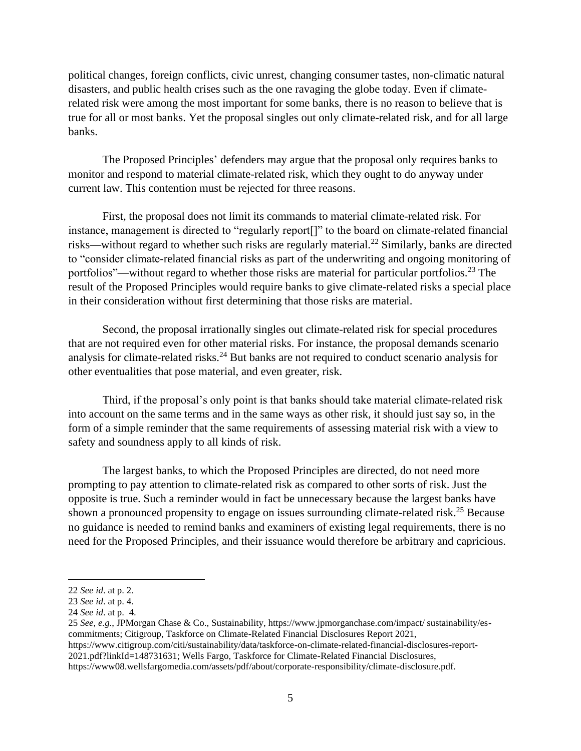political changes, foreign conflicts, civic unrest, changing consumer tastes, non-climatic natural disasters, and public health crises such as the one ravaging the globe today. Even if climaterelated risk were among the most important for some banks, there is no reason to believe that is true for all or most banks. Yet the proposal singles out only climate-related risk, and for all large banks.

The Proposed Principles' defenders may argue that the proposal only requires banks to monitor and respond to material climate-related risk, which they ought to do anyway under current law. This contention must be rejected for three reasons.

First, the proposal does not limit its commands to material climate-related risk. For instance, management is directed to "regularly report[]" to the board on climate-related financial risks—without regard to whether such risks are regularly material.<sup>22</sup> Similarly, banks are directed to "consider climate-related financial risks as part of the underwriting and ongoing monitoring of portfolios"—without regard to whether those risks are material for particular portfolios.<sup>23</sup> The result of the Proposed Principles would require banks to give climate-related risks a special place in their consideration without first determining that those risks are material.

Second, the proposal irrationally singles out climate-related risk for special procedures that are not required even for other material risks. For instance, the proposal demands scenario analysis for climate-related risks.<sup>24</sup> But banks are not required to conduct scenario analysis for other eventualities that pose material, and even greater, risk.

Third, if the proposal's only point is that banks should take material climate-related risk into account on the same terms and in the same ways as other risk, it should just say so, in the form of a simple reminder that the same requirements of assessing material risk with a view to safety and soundness apply to all kinds of risk.

The largest banks, to which the Proposed Principles are directed, do not need more prompting to pay attention to climate-related risk as compared to other sorts of risk. Just the opposite is true. Such a reminder would in fact be unnecessary because the largest banks have shown a pronounced propensity to engage on issues surrounding climate-related risk.<sup>25</sup> Because no guidance is needed to remind banks and examiners of existing legal requirements, there is no need for the Proposed Principles, and their issuance would therefore be arbitrary and capricious.

https://www08.wellsfargomedia.com/assets/pdf/about/corporate-responsibility/climate-disclosure.pdf.

<sup>22</sup> *See id*. at p. 2.

<sup>23</sup> *See id*. at p. 4.

<sup>24</sup> *See id*. at p. 4.

<sup>25</sup> *See, e.g*., JPMorgan Chase & Co., Sustainability, https://www.jpmorganchase.com/impact/ sustainability/escommitments; Citigroup, Taskforce on Climate-Related Financial Disclosures Report 2021, https://www.citigroup.com/citi/sustainability/data/taskforce-on-climate-related-financial-disclosures-report-2021.pdf?linkId=148731631; Wells Fargo, Taskforce for Climate-Related Financial Disclosures,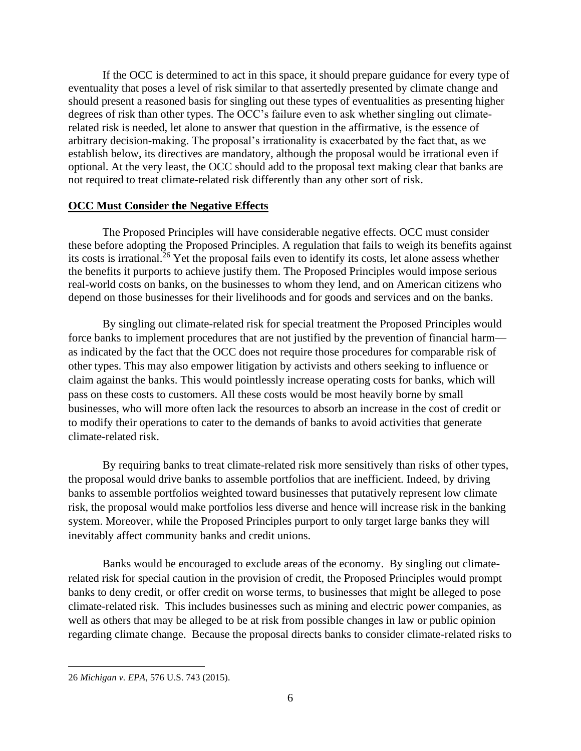If the OCC is determined to act in this space, it should prepare guidance for every type of eventuality that poses a level of risk similar to that assertedly presented by climate change and should present a reasoned basis for singling out these types of eventualities as presenting higher degrees of risk than other types. The OCC's failure even to ask whether singling out climaterelated risk is needed, let alone to answer that question in the affirmative, is the essence of arbitrary decision-making. The proposal's irrationality is exacerbated by the fact that, as we establish below, its directives are mandatory, although the proposal would be irrational even if optional. At the very least, the OCC should add to the proposal text making clear that banks are not required to treat climate-related risk differently than any other sort of risk.

## **OCC Must Consider the Negative Effects**

The Proposed Principles will have considerable negative effects. OCC must consider these before adopting the Proposed Principles. A regulation that fails to weigh its benefits against its costs is irrational.<sup>26</sup> Yet the proposal fails even to identify its costs, let alone assess whether the benefits it purports to achieve justify them. The Proposed Principles would impose serious real-world costs on banks, on the businesses to whom they lend, and on American citizens who depend on those businesses for their livelihoods and for goods and services and on the banks.

By singling out climate-related risk for special treatment the Proposed Principles would force banks to implement procedures that are not justified by the prevention of financial harm as indicated by the fact that the OCC does not require those procedures for comparable risk of other types. This may also empower litigation by activists and others seeking to influence or claim against the banks. This would pointlessly increase operating costs for banks, which will pass on these costs to customers. All these costs would be most heavily borne by small businesses, who will more often lack the resources to absorb an increase in the cost of credit or to modify their operations to cater to the demands of banks to avoid activities that generate climate-related risk.

By requiring banks to treat climate-related risk more sensitively than risks of other types, the proposal would drive banks to assemble portfolios that are inefficient. Indeed, by driving banks to assemble portfolios weighted toward businesses that putatively represent low climate risk, the proposal would make portfolios less diverse and hence will increase risk in the banking system. Moreover, while the Proposed Principles purport to only target large banks they will inevitably affect community banks and credit unions.

Banks would be encouraged to exclude areas of the economy. By singling out climaterelated risk for special caution in the provision of credit, the Proposed Principles would prompt banks to deny credit, or offer credit on worse terms, to businesses that might be alleged to pose climate-related risk. This includes businesses such as mining and electric power companies, as well as others that may be alleged to be at risk from possible changes in law or public opinion regarding climate change. Because the proposal directs banks to consider climate-related risks to

<sup>26</sup> *Michigan v. EPA*, 576 U.S. 743 (2015).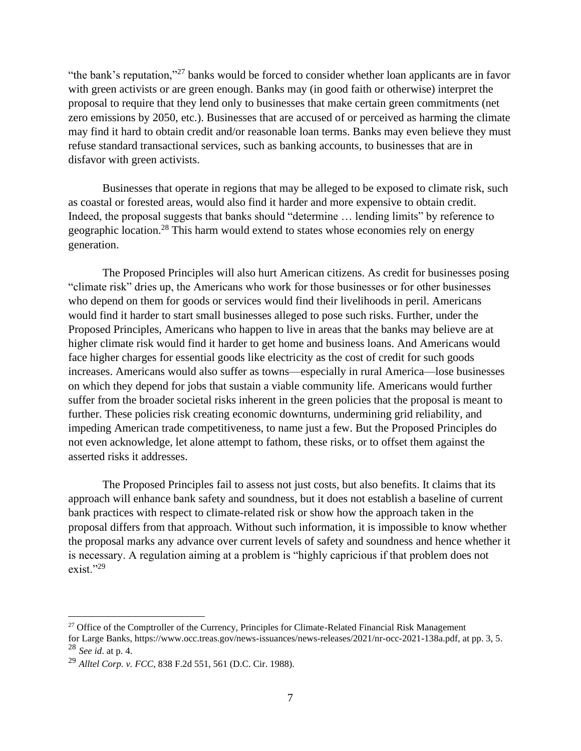"the bank's reputation,"<sup>27</sup> banks would be forced to consider whether loan applicants are in favor with green activists or are green enough. Banks may (in good faith or otherwise) interpret the proposal to require that they lend only to businesses that make certain green commitments (net zero emissions by 2050, etc.). Businesses that are accused of or perceived as harming the climate may find it hard to obtain credit and/or reasonable loan terms. Banks may even believe they must refuse standard transactional services, such as banking accounts, to businesses that are in disfavor with green activists.

Businesses that operate in regions that may be alleged to be exposed to climate risk, such as coastal or forested areas, would also find it harder and more expensive to obtain credit. Indeed, the proposal suggests that banks should "determine … lending limits" by reference to geographic location.<sup>28</sup> This harm would extend to states whose economies rely on energy generation.

The Proposed Principles will also hurt American citizens. As credit for businesses posing "climate risk" dries up, the Americans who work for those businesses or for other businesses who depend on them for goods or services would find their livelihoods in peril. Americans would find it harder to start small businesses alleged to pose such risks. Further, under the Proposed Principles, Americans who happen to live in areas that the banks may believe are at higher climate risk would find it harder to get home and business loans. And Americans would face higher charges for essential goods like electricity as the cost of credit for such goods increases. Americans would also suffer as towns—especially in rural America—lose businesses on which they depend for jobs that sustain a viable community life. Americans would further suffer from the broader societal risks inherent in the green policies that the proposal is meant to further. These policies risk creating economic downturns, undermining grid reliability, and impeding American trade competitiveness, to name just a few. But the Proposed Principles do not even acknowledge, let alone attempt to fathom, these risks, or to offset them against the asserted risks it addresses.

The Proposed Principles fail to assess not just costs, but also benefits. It claims that its approach will enhance bank safety and soundness, but it does not establish a baseline of current bank practices with respect to climate-related risk or show how the approach taken in the proposal differs from that approach. Without such information, it is impossible to know whether the proposal marks any advance over current levels of safety and soundness and hence whether it is necessary. A regulation aiming at a problem is "highly capricious if that problem does not  $exist.$ "<sup>29</sup>

<sup>&</sup>lt;sup>27</sup> Office of the Comptroller of the Currency, Principles for Climate-Related Financial Risk Management

for Large Banks, https://www.occ.treas.gov/news-issuances/news-releases/2021/nr-occ-2021-138a.pdf, at pp. 3, 5. <sup>28</sup> *See id*. at p. 4.

<sup>29</sup> *Alltel Corp. v. FCC*, 838 F.2d 551, 561 (D.C. Cir. 1988).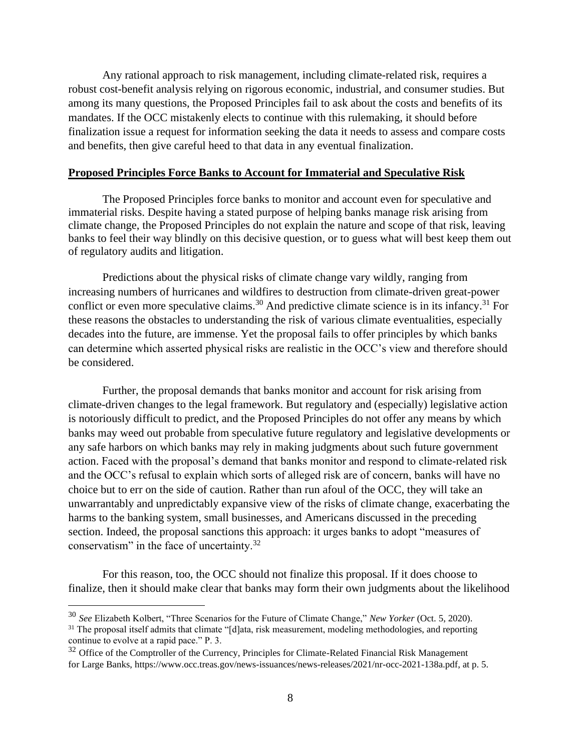Any rational approach to risk management, including climate-related risk, requires a robust cost-benefit analysis relying on rigorous economic, industrial, and consumer studies. But among its many questions, the Proposed Principles fail to ask about the costs and benefits of its mandates. If the OCC mistakenly elects to continue with this rulemaking, it should before finalization issue a request for information seeking the data it needs to assess and compare costs and benefits, then give careful heed to that data in any eventual finalization.

#### **Proposed Principles Force Banks to Account for Immaterial and Speculative Risk**

The Proposed Principles force banks to monitor and account even for speculative and immaterial risks. Despite having a stated purpose of helping banks manage risk arising from climate change, the Proposed Principles do not explain the nature and scope of that risk, leaving banks to feel their way blindly on this decisive question, or to guess what will best keep them out of regulatory audits and litigation.

Predictions about the physical risks of climate change vary wildly, ranging from increasing numbers of hurricanes and wildfires to destruction from climate-driven great-power conflict or even more speculative claims.<sup>30</sup> And predictive climate science is in its infancy.<sup>31</sup> For these reasons the obstacles to understanding the risk of various climate eventualities, especially decades into the future, are immense. Yet the proposal fails to offer principles by which banks can determine which asserted physical risks are realistic in the OCC's view and therefore should be considered.

Further, the proposal demands that banks monitor and account for risk arising from climate-driven changes to the legal framework. But regulatory and (especially) legislative action is notoriously difficult to predict, and the Proposed Principles do not offer any means by which banks may weed out probable from speculative future regulatory and legislative developments or any safe harbors on which banks may rely in making judgments about such future government action. Faced with the proposal's demand that banks monitor and respond to climate-related risk and the OCC's refusal to explain which sorts of alleged risk are of concern, banks will have no choice but to err on the side of caution. Rather than run afoul of the OCC, they will take an unwarrantably and unpredictably expansive view of the risks of climate change, exacerbating the harms to the banking system, small businesses, and Americans discussed in the preceding section. Indeed, the proposal sanctions this approach: it urges banks to adopt "measures of conservatism" in the face of uncertainty.<sup>32</sup>

For this reason, too, the OCC should not finalize this proposal. If it does choose to finalize, then it should make clear that banks may form their own judgments about the likelihood

<sup>30</sup> *See* Elizabeth Kolbert, "Three Scenarios for the Future of Climate Change," *New Yorker* (Oct. 5, 2020).

<sup>&</sup>lt;sup>31</sup> The proposal itself admits that climate "[d]ata, risk measurement, modeling methodologies, and reporting continue to evolve at a rapid pace." P. 3.

 $32$  Office of the Comptroller of the Currency, Principles for Climate-Related Financial Risk Management for Large Banks, https://www.occ.treas.gov/news-issuances/news-releases/2021/nr-occ-2021-138a.pdf, at p. 5.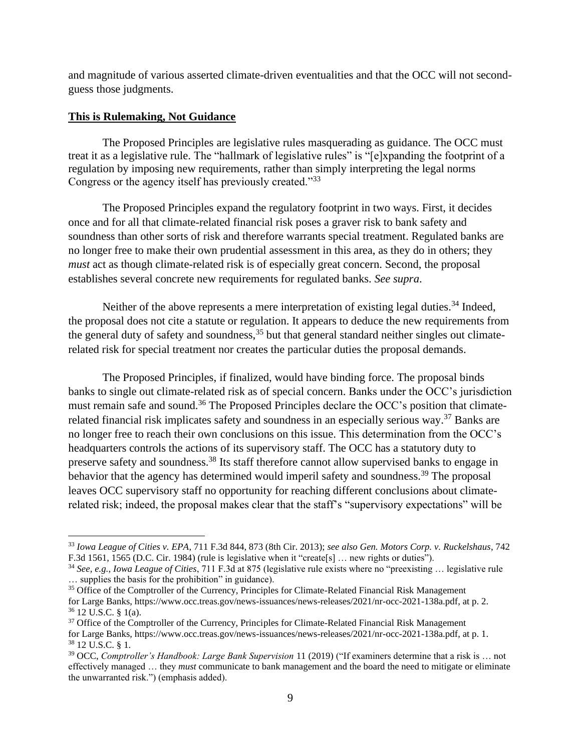and magnitude of various asserted climate-driven eventualities and that the OCC will not secondguess those judgments.

# **This is Rulemaking, Not Guidance**

The Proposed Principles are legislative rules masquerading as guidance. The OCC must treat it as a legislative rule. The "hallmark of legislative rules" is "[e]xpanding the footprint of a regulation by imposing new requirements, rather than simply interpreting the legal norms Congress or the agency itself has previously created."<sup>33</sup>

The Proposed Principles expand the regulatory footprint in two ways. First, it decides once and for all that climate-related financial risk poses a graver risk to bank safety and soundness than other sorts of risk and therefore warrants special treatment. Regulated banks are no longer free to make their own prudential assessment in this area, as they do in others; they *must* act as though climate-related risk is of especially great concern. Second, the proposal establishes several concrete new requirements for regulated banks. *See supra*.

Neither of the above represents a mere interpretation of existing legal duties.<sup>34</sup> Indeed, the proposal does not cite a statute or regulation. It appears to deduce the new requirements from the general duty of safety and soundness,  $35$  but that general standard neither singles out climaterelated risk for special treatment nor creates the particular duties the proposal demands.

The Proposed Principles, if finalized, would have binding force. The proposal binds banks to single out climate-related risk as of special concern. Banks under the OCC's jurisdiction must remain safe and sound.<sup>36</sup> The Proposed Principles declare the OCC's position that climaterelated financial risk implicates safety and soundness in an especially serious way.<sup>37</sup> Banks are no longer free to reach their own conclusions on this issue. This determination from the OCC's headquarters controls the actions of its supervisory staff. The OCC has a statutory duty to preserve safety and soundness.<sup>38</sup> Its staff therefore cannot allow supervised banks to engage in behavior that the agency has determined would imperil safety and soundness.<sup>39</sup> The proposal leaves OCC supervisory staff no opportunity for reaching different conclusions about climaterelated risk; indeed, the proposal makes clear that the staff's "supervisory expectations" will be

<sup>33</sup> *Iowa League of Cities v. EPA*, 711 F.3d 844, 873 (8th Cir. 2013); *see also Gen. Motors Corp. v. Ruckelshaus*, 742 F.3d 1561, 1565 (D.C. Cir. 1984) (rule is legislative when it "create[s] … new rights or duties").

<sup>34</sup> *See, e.g.*, *Iowa League of Cities*, 711 F.3d at 875 (legislative rule exists where no "preexisting … legislative rule … supplies the basis for the prohibition" in guidance).

<sup>&</sup>lt;sup>35</sup> Office of the Comptroller of the Currency, Principles for Climate-Related Financial Risk Management for Large Banks, https://www.occ.treas.gov/news-issuances/news-releases/2021/nr-occ-2021-138a.pdf, at p. 2. <sup>36</sup> 12 U.S.C. § 1(a).

<sup>&</sup>lt;sup>37</sup> Office of the Comptroller of the Currency, Principles for Climate-Related Financial Risk Management for Large Banks, https://www.occ.treas.gov/news-issuances/news-releases/2021/nr-occ-2021-138a.pdf, at p. 1. <sup>38</sup> 12 U.S.C. § 1.

<sup>39</sup> OCC, *Comptroller's Handbook: Large Bank Supervision* 11 (2019) ("If examiners determine that a risk is … not effectively managed … they *must* communicate to bank management and the board the need to mitigate or eliminate the unwarranted risk.") (emphasis added).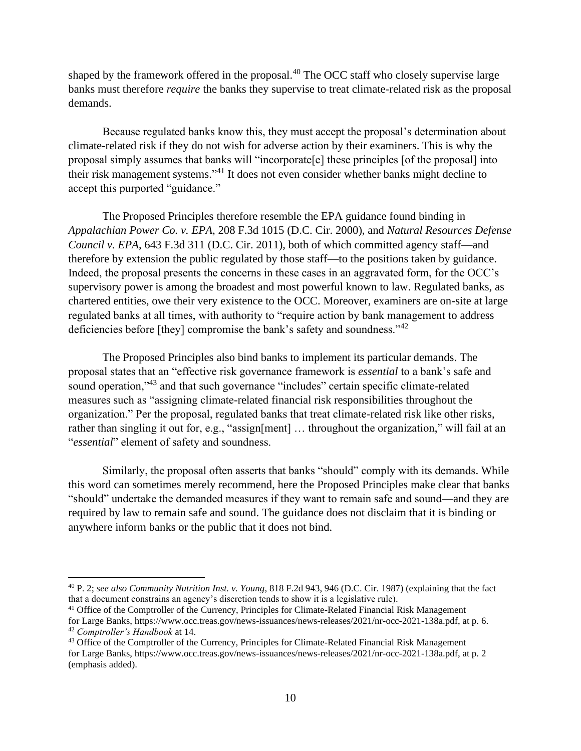shaped by the framework offered in the proposal.<sup>40</sup> The OCC staff who closely supervise large banks must therefore *require* the banks they supervise to treat climate-related risk as the proposal demands.

Because regulated banks know this, they must accept the proposal's determination about climate-related risk if they do not wish for adverse action by their examiners. This is why the proposal simply assumes that banks will "incorporate[e] these principles [of the proposal] into their risk management systems." <sup>41</sup> It does not even consider whether banks might decline to accept this purported "guidance."

The Proposed Principles therefore resemble the EPA guidance found binding in *Appalachian Power Co. v. EPA*, 208 F.3d 1015 (D.C. Cir. 2000), and *Natural Resources Defense Council v. EPA*, 643 F.3d 311 (D.C. Cir. 2011), both of which committed agency staff—and therefore by extension the public regulated by those staff—to the positions taken by guidance. Indeed, the proposal presents the concerns in these cases in an aggravated form, for the OCC's supervisory power is among the broadest and most powerful known to law. Regulated banks, as chartered entities, owe their very existence to the OCC. Moreover, examiners are on-site at large regulated banks at all times, with authority to "require action by bank management to address deficiencies before [they] compromise the bank's safety and soundness."<sup>42</sup>

The Proposed Principles also bind banks to implement its particular demands. The proposal states that an "effective risk governance framework is *essential* to a bank's safe and sound operation,"<sup>43</sup> and that such governance "includes" certain specific climate-related measures such as "assigning climate-related financial risk responsibilities throughout the organization." Per the proposal, regulated banks that treat climate-related risk like other risks, rather than singling it out for, e.g., "assign[ment] … throughout the organization," will fail at an "*essential*" element of safety and soundness.

Similarly, the proposal often asserts that banks "should" comply with its demands. While this word can sometimes merely recommend, here the Proposed Principles make clear that banks "should" undertake the demanded measures if they want to remain safe and sound—and they are required by law to remain safe and sound. The guidance does not disclaim that it is binding or anywhere inform banks or the public that it does not bind.

<sup>40</sup> P. 2; *see also Community Nutrition Inst. v. Young*, 818 F.2d 943, 946 (D.C. Cir. 1987) (explaining that the fact that a document constrains an agency's discretion tends to show it is a legislative rule).

<sup>&</sup>lt;sup>41</sup> Office of the Comptroller of the Currency, Principles for Climate-Related Financial Risk Management for Large Banks, https://www.occ.treas.gov/news-issuances/news-releases/2021/nr-occ-2021-138a.pdf, at p. 6. <sup>42</sup> *Comptroller's Handbook* at 14.

<sup>&</sup>lt;sup>43</sup> Office of the Comptroller of the Currency, Principles for Climate-Related Financial Risk Management for Large Banks, https://www.occ.treas.gov/news-issuances/news-releases/2021/nr-occ-2021-138a.pdf, at p. 2 (emphasis added).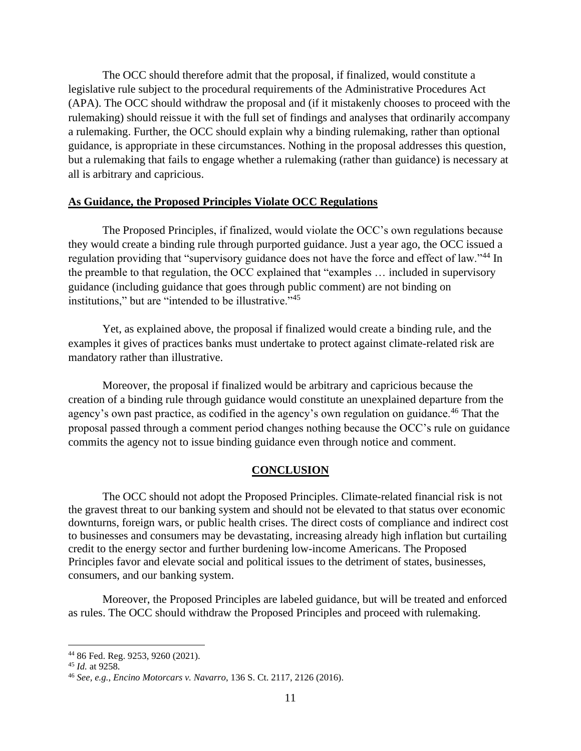The OCC should therefore admit that the proposal, if finalized, would constitute a legislative rule subject to the procedural requirements of the Administrative Procedures Act (APA). The OCC should withdraw the proposal and (if it mistakenly chooses to proceed with the rulemaking) should reissue it with the full set of findings and analyses that ordinarily accompany a rulemaking. Further, the OCC should explain why a binding rulemaking, rather than optional guidance, is appropriate in these circumstances. Nothing in the proposal addresses this question, but a rulemaking that fails to engage whether a rulemaking (rather than guidance) is necessary at all is arbitrary and capricious.

## **As Guidance, the Proposed Principles Violate OCC Regulations**

The Proposed Principles, if finalized, would violate the OCC's own regulations because they would create a binding rule through purported guidance. Just a year ago, the OCC issued a regulation providing that "supervisory guidance does not have the force and effect of law."<sup>44</sup> In the preamble to that regulation, the OCC explained that "examples … included in supervisory guidance (including guidance that goes through public comment) are not binding on institutions," but are "intended to be illustrative."<sup>45</sup>

Yet, as explained above, the proposal if finalized would create a binding rule, and the examples it gives of practices banks must undertake to protect against climate-related risk are mandatory rather than illustrative.

Moreover, the proposal if finalized would be arbitrary and capricious because the creation of a binding rule through guidance would constitute an unexplained departure from the agency's own past practice, as codified in the agency's own regulation on guidance.<sup>46</sup> That the proposal passed through a comment period changes nothing because the OCC's rule on guidance commits the agency not to issue binding guidance even through notice and comment.

## **CONCLUSION**

The OCC should not adopt the Proposed Principles. Climate-related financial risk is not the gravest threat to our banking system and should not be elevated to that status over economic downturns, foreign wars, or public health crises. The direct costs of compliance and indirect cost to businesses and consumers may be devastating, increasing already high inflation but curtailing credit to the energy sector and further burdening low-income Americans. The Proposed Principles favor and elevate social and political issues to the detriment of states, businesses, consumers, and our banking system.

Moreover, the Proposed Principles are labeled guidance, but will be treated and enforced as rules. The OCC should withdraw the Proposed Principles and proceed with rulemaking.

<sup>44</sup> 86 Fed. Reg. 9253, 9260 (2021).

<sup>45</sup> *Id.* at 9258.

<sup>46</sup> *See, e.g.*, *Encino Motorcars v. Navarro*, 136 S. Ct. 2117, 2126 (2016).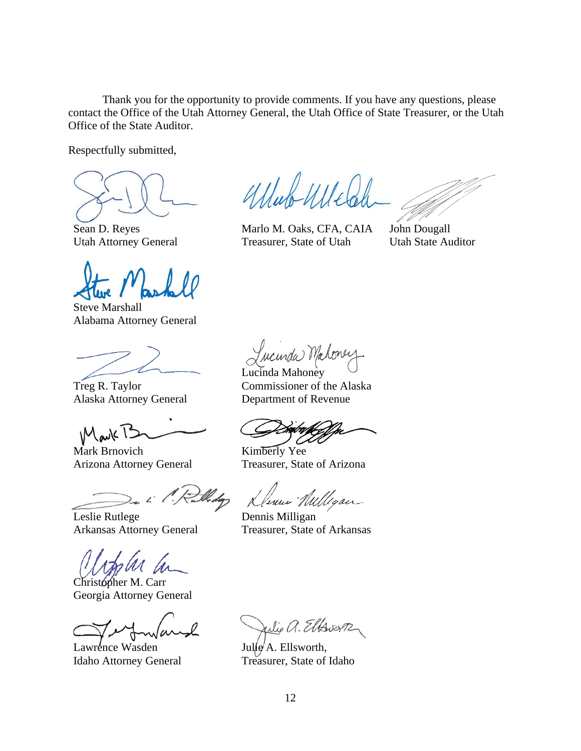Thank you for the opportunity to provide comments. If you have any questions, please contact the Office of the Utah Attorney General, the Utah Office of State Treasurer, or the Utah Office of the State Auditor.

Respectfully submitted,

Sean D. Reyes Utah Attorney General

Steve Marshall Alabama Attorney General

Treg R. Taylor Alaska Attorney General

Mark T3

Mark Brnovich Arizona Attorney General

Leslie Rutlege Arkansas Attorney General

Christopher M. Carr Georgia Attorney General

Lawrence Wasden Idaho Attorney General

Ullub Ulle

Marlo M. Oaks, CFA, CAIA Treasurer, State of Utah

John Dougall Utah State Auditor

Jucunda Maloney

Lucinda Mahoney Commissioner of the Alaska Department of Revenue

Kimberly Yee Treasurer, State of Arizona

Jenne Willigan

Dennis Milligan Treasurer, State of Arkansas

Julie a. Elfswerp

 $Julie/A.$  Ellsworth, Treasurer, State of Idaho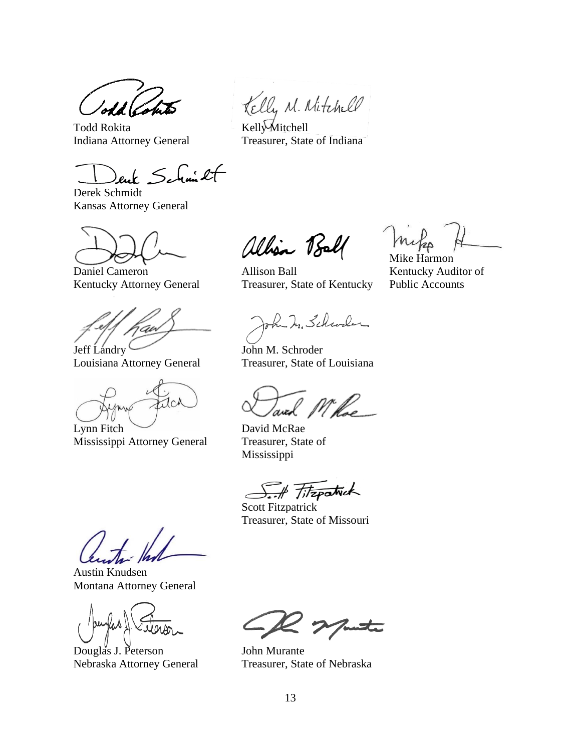Todd Rokita Indiana Attorney General

enk Schmilt

Derek Schmidt Kansas Attorney General

Daniel Cameron Kentucky Attorney General

Jeff Landry

Louisiana Attorney General

**CA** Lynn Fitch

Mississippi Attorney General

Kelly M. Nitchell

Kelly Mitchell Treasurer, State of Indiana

allian Ball

Mike Harmon

Kentucky Auditor of Public Accounts

Allison Ball Treasurer, State of Kentucky

oh In Schwaler

John M. Schroder Treasurer, State of Louisiana

and Mille

David McRae Treasurer, State of Mississippi

S.A Fitzpatrick

Scott Fitzpatrick Treasurer, State of Missouri

Austin Knudsen Montana Attorney General

Douglas J. Peterson Nebraska Attorney General

John Murante Treasurer, State of Nebraska